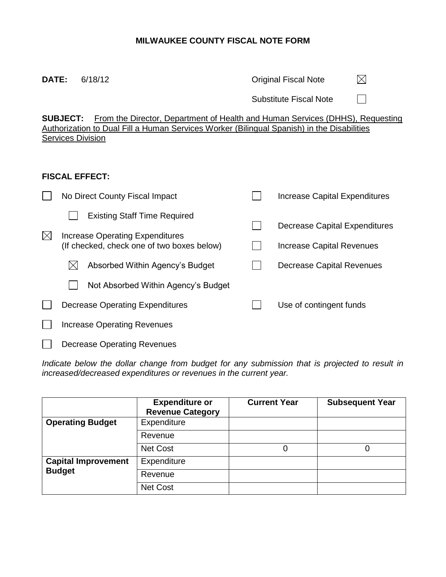## **MILWAUKEE COUNTY FISCAL NOTE FORM**

| DATE:                                                                                                                                                                                                                             | 6/18/12                                                                              |  | <b>Original Fiscal Note</b>          |  |  |  |  |  |  |
|-----------------------------------------------------------------------------------------------------------------------------------------------------------------------------------------------------------------------------------|--------------------------------------------------------------------------------------|--|--------------------------------------|--|--|--|--|--|--|
|                                                                                                                                                                                                                                   |                                                                                      |  | <b>Substitute Fiscal Note</b>        |  |  |  |  |  |  |
| <b>SUBJECT:</b><br><u>From the Director, Department of Health and Human Services (DHHS), Requesting</u><br>Authorization to Dual Fill a Human Services Worker (Bilingual Spanish) in the Disabilities<br><b>Services Division</b> |                                                                                      |  |                                      |  |  |  |  |  |  |
| <b>FISCAL EFFECT:</b>                                                                                                                                                                                                             |                                                                                      |  |                                      |  |  |  |  |  |  |
|                                                                                                                                                                                                                                   | No Direct County Fiscal Impact                                                       |  | <b>Increase Capital Expenditures</b> |  |  |  |  |  |  |
|                                                                                                                                                                                                                                   | <b>Existing Staff Time Required</b>                                                  |  | <b>Decrease Capital Expenditures</b> |  |  |  |  |  |  |
| $\boxtimes$                                                                                                                                                                                                                       | <b>Increase Operating Expenditures</b><br>(If checked, check one of two boxes below) |  | <b>Increase Capital Revenues</b>     |  |  |  |  |  |  |
|                                                                                                                                                                                                                                   | Absorbed Within Agency's Budget<br>$\bowtie$                                         |  | <b>Decrease Capital Revenues</b>     |  |  |  |  |  |  |
|                                                                                                                                                                                                                                   | Not Absorbed Within Agency's Budget                                                  |  |                                      |  |  |  |  |  |  |
|                                                                                                                                                                                                                                   | <b>Decrease Operating Expenditures</b>                                               |  | Use of contingent funds              |  |  |  |  |  |  |
|                                                                                                                                                                                                                                   | <b>Increase Operating Revenues</b>                                                   |  |                                      |  |  |  |  |  |  |

Decrease Operating Revenues  $\Box$ 

Indicate below the dollar change from budget for any submission that is projected to result in *increased/decreased expenditures or revenues in the current year.*

|                            | <b>Expenditure or</b><br><b>Revenue Category</b> | <b>Current Year</b> | <b>Subsequent Year</b> |
|----------------------------|--------------------------------------------------|---------------------|------------------------|
| <b>Operating Budget</b>    | Expenditure                                      |                     |                        |
|                            | Revenue                                          |                     |                        |
|                            | Net Cost                                         | 0                   |                        |
| <b>Capital Improvement</b> | Expenditure                                      |                     |                        |
| <b>Budget</b>              | Revenue                                          |                     |                        |
|                            | Net Cost                                         |                     |                        |